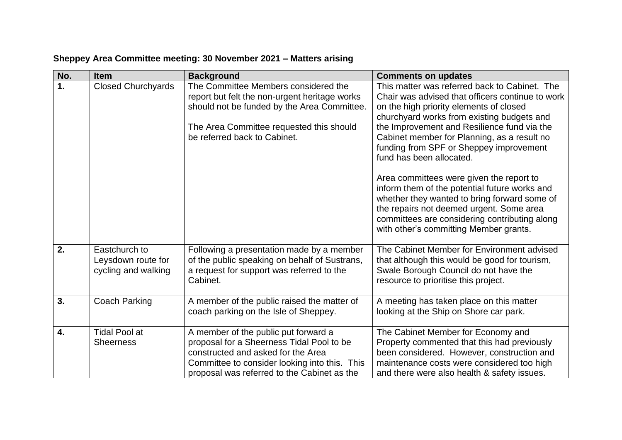| No.              | <b>Item</b>                                                | <b>Background</b>                                                                                                                                                                                                       | <b>Comments on updates</b>                                                                                                                                                                                                                                                                                                                                      |
|------------------|------------------------------------------------------------|-------------------------------------------------------------------------------------------------------------------------------------------------------------------------------------------------------------------------|-----------------------------------------------------------------------------------------------------------------------------------------------------------------------------------------------------------------------------------------------------------------------------------------------------------------------------------------------------------------|
| 1.               | <b>Closed Churchyards</b>                                  | The Committee Members considered the<br>report but felt the non-urgent heritage works<br>should not be funded by the Area Committee.<br>The Area Committee requested this should<br>be referred back to Cabinet.        | This matter was referred back to Cabinet. The<br>Chair was advised that officers continue to work<br>on the high priority elements of closed<br>churchyard works from existing budgets and<br>the Improvement and Resilience fund via the<br>Cabinet member for Planning, as a result no<br>funding from SPF or Sheppey improvement<br>fund has been allocated. |
|                  |                                                            |                                                                                                                                                                                                                         | Area committees were given the report to<br>inform them of the potential future works and<br>whether they wanted to bring forward some of<br>the repairs not deemed urgent. Some area<br>committees are considering contributing along<br>with other's committing Member grants.                                                                                |
| 2.               | Eastchurch to<br>Leysdown route for<br>cycling and walking | Following a presentation made by a member<br>of the public speaking on behalf of Sustrans,<br>a request for support was referred to the<br>Cabinet.                                                                     | The Cabinet Member for Environment advised<br>that although this would be good for tourism,<br>Swale Borough Council do not have the<br>resource to prioritise this project.                                                                                                                                                                                    |
| 3.               | Coach Parking                                              | A member of the public raised the matter of<br>coach parking on the Isle of Sheppey.                                                                                                                                    | A meeting has taken place on this matter<br>looking at the Ship on Shore car park.                                                                                                                                                                                                                                                                              |
| $\overline{4}$ . | <b>Tidal Pool at</b><br><b>Sheerness</b>                   | A member of the public put forward a<br>proposal for a Sheerness Tidal Pool to be<br>constructed and asked for the Area<br>Committee to consider looking into this. This<br>proposal was referred to the Cabinet as the | The Cabinet Member for Economy and<br>Property commented that this had previously<br>been considered. However, construction and<br>maintenance costs were considered too high<br>and there were also health & safety issues.                                                                                                                                    |

## **Sheppey Area Committee meeting: 30 November 2021 – Matters arising**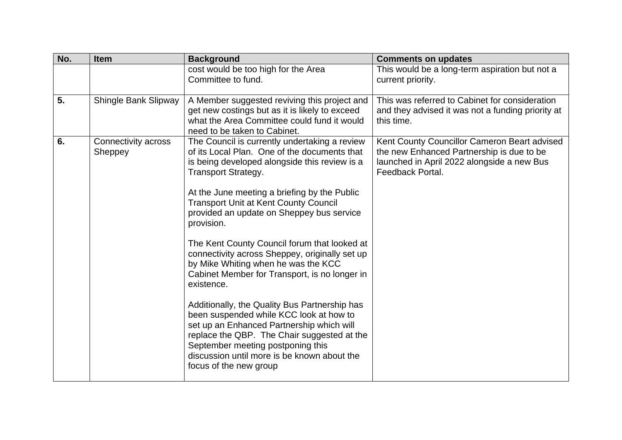| No.<br>Item                                 | <b>Background</b>                                                                                                                                                                                                                                                                                                                                                                                                                                                                                                                                                                                                                                                                                                                                                                                                                                     | <b>Comments on updates</b>                                                                                                                                  |
|---------------------------------------------|-------------------------------------------------------------------------------------------------------------------------------------------------------------------------------------------------------------------------------------------------------------------------------------------------------------------------------------------------------------------------------------------------------------------------------------------------------------------------------------------------------------------------------------------------------------------------------------------------------------------------------------------------------------------------------------------------------------------------------------------------------------------------------------------------------------------------------------------------------|-------------------------------------------------------------------------------------------------------------------------------------------------------------|
|                                             | cost would be too high for the Area<br>Committee to fund.                                                                                                                                                                                                                                                                                                                                                                                                                                                                                                                                                                                                                                                                                                                                                                                             | This would be a long-term aspiration but not a<br>current priority.                                                                                         |
| 5.<br><b>Shingle Bank Slipway</b>           | A Member suggested reviving this project and<br>get new costings but as it is likely to exceed<br>what the Area Committee could fund it would<br>need to be taken to Cabinet.                                                                                                                                                                                                                                                                                                                                                                                                                                                                                                                                                                                                                                                                         | This was referred to Cabinet for consideration<br>and they advised it was not a funding priority at<br>this time.                                           |
| 6.<br><b>Connectivity across</b><br>Sheppey | The Council is currently undertaking a review<br>of its Local Plan. One of the documents that<br>is being developed alongside this review is a<br><b>Transport Strategy.</b><br>At the June meeting a briefing by the Public<br><b>Transport Unit at Kent County Council</b><br>provided an update on Sheppey bus service<br>provision.<br>The Kent County Council forum that looked at<br>connectivity across Sheppey, originally set up<br>by Mike Whiting when he was the KCC<br>Cabinet Member for Transport, is no longer in<br>existence.<br>Additionally, the Quality Bus Partnership has<br>been suspended while KCC look at how to<br>set up an Enhanced Partnership which will<br>replace the QBP. The Chair suggested at the<br>September meeting postponing this<br>discussion until more is be known about the<br>focus of the new group | Kent County Councillor Cameron Beart advised<br>the new Enhanced Partnership is due to be<br>launched in April 2022 alongside a new Bus<br>Feedback Portal. |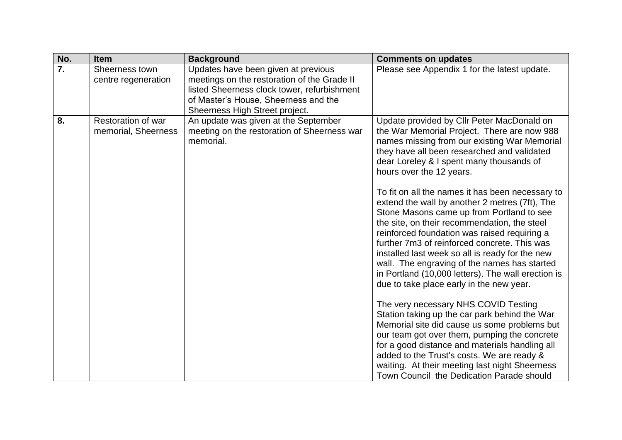| No.              | Item                                      | <b>Background</b>                                                                                                                                                                                           | <b>Comments on updates</b>                                                                                                                                                                                                                                                                                                                                                                                                                                                                                                                                                                                                                                                                                                                                                                                                                                                                                                                                                                                                                                                                                          |
|------------------|-------------------------------------------|-------------------------------------------------------------------------------------------------------------------------------------------------------------------------------------------------------------|---------------------------------------------------------------------------------------------------------------------------------------------------------------------------------------------------------------------------------------------------------------------------------------------------------------------------------------------------------------------------------------------------------------------------------------------------------------------------------------------------------------------------------------------------------------------------------------------------------------------------------------------------------------------------------------------------------------------------------------------------------------------------------------------------------------------------------------------------------------------------------------------------------------------------------------------------------------------------------------------------------------------------------------------------------------------------------------------------------------------|
| $\overline{7}$ . | Sheerness town<br>centre regeneration     | Updates have been given at previous<br>meetings on the restoration of the Grade II<br>listed Sheerness clock tower, refurbishment<br>of Master's House, Sheerness and the<br>Sheerness High Street project. | Please see Appendix 1 for the latest update.                                                                                                                                                                                                                                                                                                                                                                                                                                                                                                                                                                                                                                                                                                                                                                                                                                                                                                                                                                                                                                                                        |
| 8.               | Restoration of war<br>memorial, Sheerness | An update was given at the September<br>meeting on the restoration of Sheerness war<br>memorial.                                                                                                            | Update provided by Cllr Peter MacDonald on<br>the War Memorial Project. There are now 988<br>names missing from our existing War Memorial<br>they have all been researched and validated<br>dear Loreley & I spent many thousands of<br>hours over the 12 years.<br>To fit on all the names it has been necessary to<br>extend the wall by another 2 metres (7ft), The<br>Stone Masons came up from Portland to see<br>the site, on their recommendation, the steel<br>reinforced foundation was raised requiring a<br>further 7m3 of reinforced concrete. This was<br>installed last week so all is ready for the new<br>wall. The engraving of the names has started<br>in Portland (10,000 letters). The wall erection is<br>due to take place early in the new year.<br>The very necessary NHS COVID Testing<br>Station taking up the car park behind the War<br>Memorial site did cause us some problems but<br>our team got over them, pumping the concrete<br>for a good distance and materials handling all<br>added to the Trust's costs. We are ready &<br>waiting. At their meeting last night Sheerness |
|                  |                                           |                                                                                                                                                                                                             | Town Council the Dedication Parade should                                                                                                                                                                                                                                                                                                                                                                                                                                                                                                                                                                                                                                                                                                                                                                                                                                                                                                                                                                                                                                                                           |